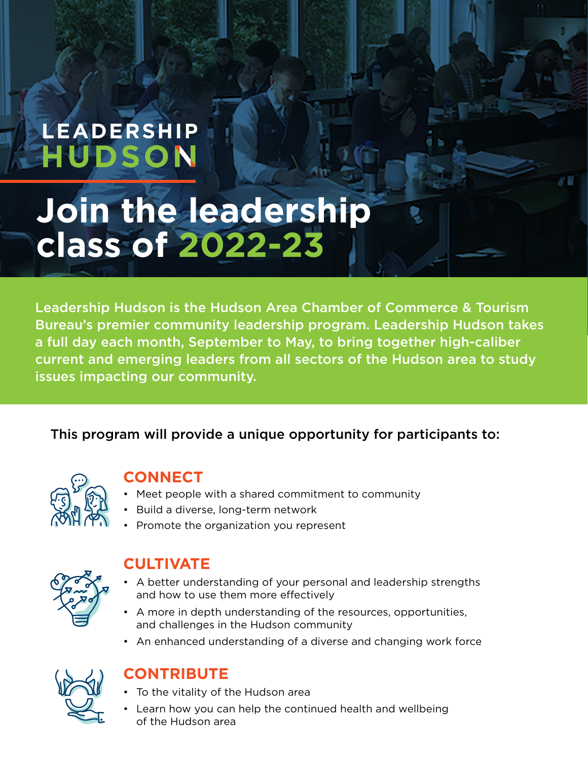# LEADERSHIP **HUDSON**

# **Join the leadership class of 2022-23**

Leadership Hudson is the Hudson Area Chamber of Commerce & Tourism Bureau's premier community leadership program. Leadership Hudson takes a full day each month, September to May, to bring together high-caliber current and emerging leaders from all sectors of the Hudson area to study issues impacting our community.

### This program will provide a unique opportunity for participants to:



#### **CONNECT**

- Meet people with a shared commitment to community
- Build a diverse, long-term network
- Promote the organization you represent



### **CULTIVATE**

- A better understanding of your personal and leadership strengths and how to use them more effectively
- A more in depth understanding of the resources, opportunities, and challenges in the Hudson community
- An enhanced understanding of a diverse and changing work force



#### **CONTRIBUTE**

- To the vitality of the Hudson area
- Learn how you can help the continued health and wellbeing of the Hudson area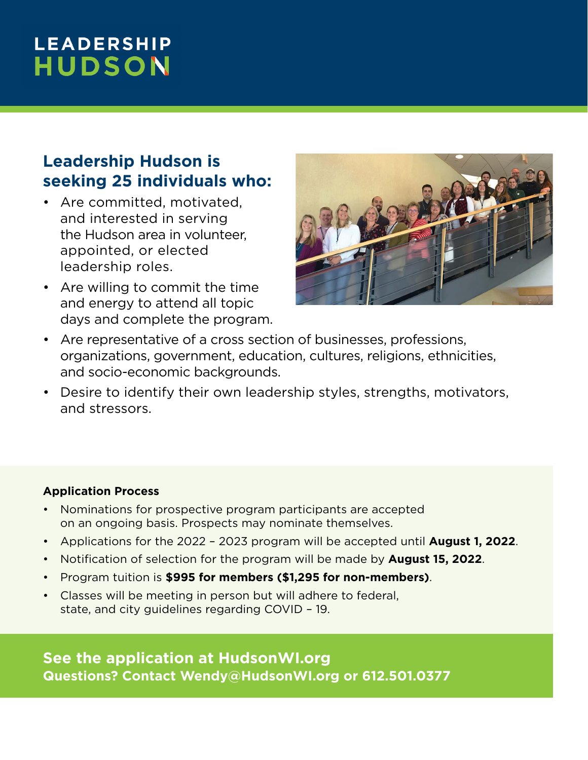# **LEADERSHIP HUDSON**

## **Leadership Hudson is seeking 25 individuals who:**

- Are committed, motivated, and interested in serving the Hudson area in volunteer, appointed, or elected leadership roles.
- Are willing to commit the time and energy to attend all topic days and complete the program.



- Are representative of a cross section of businesses, professions, organizations, government, education, cultures, religions, ethnicities, and socio-economic backgrounds.
- Desire to identify their own leadership styles, strengths, motivators, and stressors.

#### **Application Process**

- Nominations for prospective program participants are accepted on an ongoing basis. Prospects may nominate themselves.
- Applications for the 2022 2023 program will be accepted until **August 1, 2022**.
- Notification of selection for the program will be made by **August 15, 2022**.
- Program tuition is **\$995 for members (\$1,295 for non-members)**.
- Classes will be meeting in person but will adhere to federal, state, and city guidelines regarding COVID – 19.

**See the application at HudsonWI.org Questions? Contact Wendy@HudsonWI.org or 612.501.0377**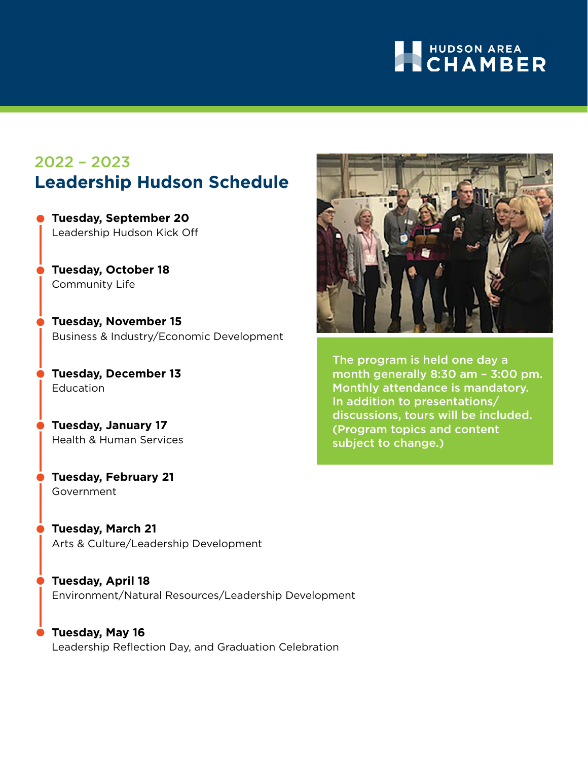# **AN HUDSON AREA**

## 2022 – 2023 **Leadership Hudson Schedule**

- **Tuesday, September 20** Leadership Hudson Kick Off
- **Tuesday, October 18** Community Life
- **Tuesday, November 15** Business & Industry/Economic Development
- **Tuesday, December 13** Education
- **Tuesday, January 17** Health & Human Services
- **Tuesday, February 21**  Government
- **Tuesday, March 21** Arts & Culture/Leadership Development
- **Tuesday, April 18** Environment/Natural Resources/Leadership Development
- **Tuesday, May 16**  Leadership Reflection Day, and Graduation Celebration



The program is held one day a month generally 8:30 am – 3:00 pm. Monthly attendance is mandatory. In addition to presentations/ discussions, tours will be included. (Program topics and content subject to change.)